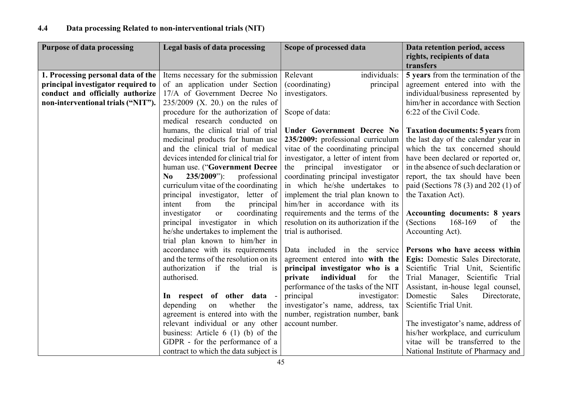| <b>Purpose of data processing</b>  | Legal basis of data processing                   | Scope of processed data                     | Data retention period, access            |
|------------------------------------|--------------------------------------------------|---------------------------------------------|------------------------------------------|
|                                    |                                                  |                                             | rights, recipients of data               |
|                                    |                                                  |                                             | transfers                                |
| 1. Processing personal data of the | Items necessary for the submission               | individuals:<br>Relevant                    | 5 years from the termination of the      |
| principal investigator required to | of an application under Section                  | (coordinating)<br>principal                 | agreement entered into with the          |
| conduct and officially authorize   | 17/A of Government Decree No                     | investigators.                              | individual/business represented by       |
| non-interventional trials ("NIT"). | $235/2009$ (X. 20.) on the rules of              |                                             | him/her in accordance with Section       |
|                                    | procedure for the authorization of               | Scope of data:                              | 6:22 of the Civil Code.                  |
|                                    | medical research conducted on                    |                                             |                                          |
|                                    | humans, the clinical trial of trial              | Under Government Decree No                  | <b>Taxation documents: 5 years from</b>  |
|                                    | medicinal products for human use                 | 235/2009: professional curriculum           | the last day of the calendar year in     |
|                                    | and the clinical trial of medical                | vitae of the coordinating principal         | which the tax concerned should           |
|                                    | devices intended for clinical trial for          | investigator, a letter of intent from       | have been declared or reported or,       |
|                                    | human use. ("Government Decree                   | the principal investigator<br><sub>or</sub> | in the absence of such declaration or    |
|                                    | $235/2009$ "):<br>professional<br>N <sub>0</sub> | coordinating principal investigator         | report, the tax should have been         |
|                                    | curriculum vitae of the coordinating             | in which he/she undertakes to               | paid (Sections 78 $(3)$ and 202 $(1)$ of |
|                                    | principal investigator, letter of                | implement the trial plan known to           | the Taxation Act).                       |
|                                    | from<br>the<br>intent<br>principal               | him/her in accordance with its              |                                          |
|                                    | coordinating<br>investigator<br><b>or</b>        | requirements and the terms of the           | <b>Accounting documents: 8 years</b>     |
|                                    | principal investigator in which                  | resolution on its authorization if the      | 168-169<br>(Sections)<br>of<br>the       |
|                                    | he/she undertakes to implement the               | trial is authorised.                        | Accounting Act).                         |
|                                    | trial plan known to him/her in                   |                                             |                                          |
|                                    | accordance with its requirements                 | Data included in the service                | Persons who have access within           |
|                                    | and the terms of the resolution on its           | agreement entered into with the             | Egis: Domestic Sales Directorate,        |
|                                    | authorization if the<br>trial is                 | principal investigator who is a             | Scientific Trial Unit, Scientific        |
|                                    | authorised.                                      | individual<br>for<br>private<br>the         | Trial Manager, Scientific Trial          |
|                                    |                                                  | performance of the tasks of the NIT         | Assistant, in-house legal counsel,       |
|                                    | In respect of other data -                       | principal<br>investigator:                  | Domestic<br>Sales<br>Directorate,        |
|                                    | whether<br>depending<br>on<br>the                | investigator's name, address, tax           | Scientific Trial Unit.                   |
|                                    | agreement is entered into with the               | number, registration number, bank           |                                          |
|                                    | relevant individual or any other                 | account number.                             | The investigator's name, address of      |
|                                    | business: Article $6(1)(b)$ of the               |                                             | his/her workplace, and curriculum        |
|                                    | GDPR - for the performance of a                  |                                             | vitae will be transferred to the         |
|                                    | contract to which the data subject is            |                                             | National Institute of Pharmacy and       |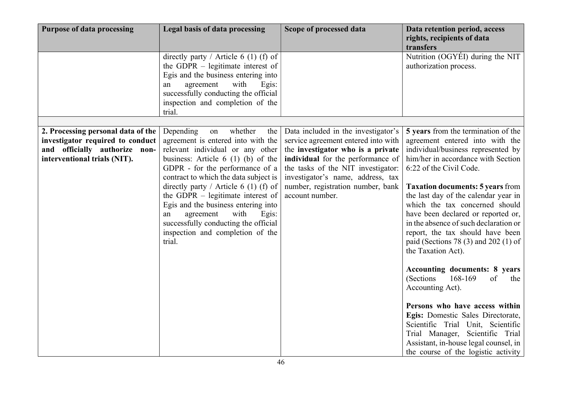| directly party / Article 6 (1) (f) of<br>the GDPR – legitimate interest of                                                                                                                                                                                                                                                                                                                                                                                                                                                                                                                                                                                                                                                                                                                                                                                                                                         | Nutrition (OGYÉI) during the NIT<br>authorization process.                                                                                                                                                                                                                                                                                                                                                                                                                                                                                                                                                                                                                                                                              |
|--------------------------------------------------------------------------------------------------------------------------------------------------------------------------------------------------------------------------------------------------------------------------------------------------------------------------------------------------------------------------------------------------------------------------------------------------------------------------------------------------------------------------------------------------------------------------------------------------------------------------------------------------------------------------------------------------------------------------------------------------------------------------------------------------------------------------------------------------------------------------------------------------------------------|-----------------------------------------------------------------------------------------------------------------------------------------------------------------------------------------------------------------------------------------------------------------------------------------------------------------------------------------------------------------------------------------------------------------------------------------------------------------------------------------------------------------------------------------------------------------------------------------------------------------------------------------------------------------------------------------------------------------------------------------|
| Egis and the business entering into<br>with<br>agreement<br>Egis:<br>an<br>successfully conducting the official<br>inspection and completion of the<br>trial.                                                                                                                                                                                                                                                                                                                                                                                                                                                                                                                                                                                                                                                                                                                                                      |                                                                                                                                                                                                                                                                                                                                                                                                                                                                                                                                                                                                                                                                                                                                         |
|                                                                                                                                                                                                                                                                                                                                                                                                                                                                                                                                                                                                                                                                                                                                                                                                                                                                                                                    |                                                                                                                                                                                                                                                                                                                                                                                                                                                                                                                                                                                                                                                                                                                                         |
| 2. Processing personal data of the<br>Depending<br>whether<br>Data included in the investigator's<br>the<br>on<br>agreement is entered into with the<br>service agreement entered into with<br>investigator required to conduct<br>and officially authorize non-<br>relevant individual or any other<br>the investigator who is a private<br>interventional trials (NIT).<br>individual for the performance of<br>business: Article $6(1)(b)$ of the<br>GDPR - for the performance of a<br>the tasks of the NIT investigator:<br>contract to which the data subject is<br>investigator's name, address, tax<br>directly party / Article 6 (1) (f) of<br>number, registration number, bank<br>account number.<br>the GDPR – legitimate interest of<br>Egis and the business entering into<br>with<br>agreement<br>Egis:<br>an<br>successfully conducting the official<br>inspection and completion of the<br>trial. | 5 years from the termination of the<br>agreement entered into with the<br>individual/business represented by<br>him/her in accordance with Section<br>6:22 of the Civil Code.<br><b>Taxation documents: 5 years from</b><br>the last day of the calendar year in<br>which the tax concerned should<br>have been declared or reported or,<br>in the absence of such declaration or<br>report, the tax should have been<br>paid (Sections 78 $(3)$ and 202 $(1)$ of<br>the Taxation Act).<br><b>Accounting documents: 8 years</b><br>168-169<br>(Sections<br>of<br>the<br>Accounting Act).<br>Persons who have access within<br>Egis: Domestic Sales Directorate,<br>Scientific Trial Unit, Scientific<br>Trial Manager, Scientific Trial |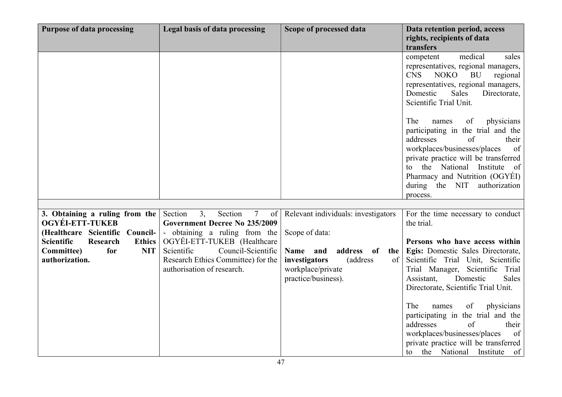| <b>Purpose of data processing</b>                 | Legal basis of data processing                                                                       | Scope of processed data                                                                                                 | Data retention period, access<br>rights, recipients of data<br>transfers                                                                                                                                                                                                                                           |
|---------------------------------------------------|------------------------------------------------------------------------------------------------------|-------------------------------------------------------------------------------------------------------------------------|--------------------------------------------------------------------------------------------------------------------------------------------------------------------------------------------------------------------------------------------------------------------------------------------------------------------|
|                                                   |                                                                                                      |                                                                                                                         | medical<br>sales<br>competent<br>representatives, regional managers,<br><b>CNS</b><br><b>NOKO</b><br><b>BU</b><br>regional<br>representatives, regional managers,<br>Domestic<br><b>Sales</b><br>Directorate,<br>Scientific Trial Unit.                                                                            |
|                                                   |                                                                                                      |                                                                                                                         | The<br>of<br>physicians<br>names<br>participating in the trial and the<br>addresses<br>$\sigma$ f<br>their<br>workplaces/businesses/places<br>of<br>private practice will be transferred<br>the National<br>Institute<br>of<br>to<br>Pharmacy and Nutrition (OGYÉI)<br>during the NIT<br>authorization<br>process. |
|                                                   |                                                                                                      |                                                                                                                         |                                                                                                                                                                                                                                                                                                                    |
| 3. Obtaining a ruling from the<br>OGYÉI-ETT-TUKEB | Section<br>Section<br>3.<br>$7\phantom{.0}$<br>of<br><b>Government Decree No 235/2009</b>            | Relevant individuals: investigators                                                                                     | For the time necessary to conduct<br>the trial.                                                                                                                                                                                                                                                                    |
| (Healthcare Scientific Council-                   | - obtaining a ruling from the                                                                        | Scope of data:                                                                                                          |                                                                                                                                                                                                                                                                                                                    |
| <b>Scientific</b><br>Research<br><b>Ethics</b>    | OGYÉI-ETT-TUKEB (Healthcare                                                                          |                                                                                                                         | Persons who have access within                                                                                                                                                                                                                                                                                     |
| for<br><b>NIT</b><br>Committee)<br>authorization. | Scientific<br>Council-Scientific<br>Research Ethics Committee) for the<br>authorisation of research. | Name and<br>address<br><b>of</b><br>the<br>investigators<br>(address)<br>of<br>workplace/private<br>practice/business). | Egis: Domestic Sales Directorate,<br>Scientific Trial Unit, Scientific<br>Trial Manager, Scientific<br>Trial<br>Assistant,<br>Domestic<br>Sales<br>Directorate, Scientific Trial Unit.                                                                                                                             |
|                                                   |                                                                                                      |                                                                                                                         | physicians<br>The<br>names<br>of<br>participating in the trial and the<br>addresses<br>of<br>their<br>workplaces/businesses/places<br>of<br>private practice will be transferred<br>to the National Institute of                                                                                                   |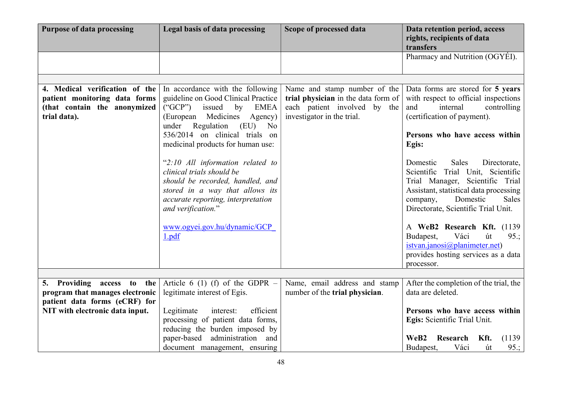| <b>Purpose of data processing</b>                                                                               | Legal basis of data processing                                                                                                                                                                                                                                                                                                                                                                                      | Scope of processed data                                                                                                           | Data retention period, access<br>rights, recipients of data<br>transfers                                                                                                                                                                                                                                                                     |
|-----------------------------------------------------------------------------------------------------------------|---------------------------------------------------------------------------------------------------------------------------------------------------------------------------------------------------------------------------------------------------------------------------------------------------------------------------------------------------------------------------------------------------------------------|-----------------------------------------------------------------------------------------------------------------------------------|----------------------------------------------------------------------------------------------------------------------------------------------------------------------------------------------------------------------------------------------------------------------------------------------------------------------------------------------|
|                                                                                                                 |                                                                                                                                                                                                                                                                                                                                                                                                                     |                                                                                                                                   | Pharmacy and Nutrition (OGYÉI).                                                                                                                                                                                                                                                                                                              |
|                                                                                                                 |                                                                                                                                                                                                                                                                                                                                                                                                                     |                                                                                                                                   |                                                                                                                                                                                                                                                                                                                                              |
| 4. Medical verification of the<br>patient monitoring data forms<br>(that contain the anonymized<br>trial data). | In accordance with the following<br>guideline on Good Clinical Practice<br>issued<br>$(^{\circ}GCP")$<br>by<br><b>EMEA</b><br>Medicines<br>(European<br>Agency)<br>Regulation<br>(EU)<br>under<br>No<br>536/2014 on clinical trials on<br>medicinal products for human use:<br>"2:10 All information related to<br>clinical trials should be<br>should be recorded, handled, and<br>stored in a way that allows its | Name and stamp number of the<br>trial physician in the data form of<br>each patient involved by the<br>investigator in the trial. | Data forms are stored for 5 years<br>with respect to official inspections<br>and<br>internal<br>controlling<br>(certification of payment).<br>Persons who have access within<br>Egis:<br>Sales<br>Domestic<br>Directorate,<br>Scientific Trial Unit, Scientific<br>Trial Manager, Scientific Trial<br>Assistant, statistical data processing |
|                                                                                                                 | accurate reporting, interpretation<br>and verification."<br>www.ogyei.gov.hu/dynamic/GCP<br>1.pdf                                                                                                                                                                                                                                                                                                                   |                                                                                                                                   | Domestic<br>Sales<br>company,<br>Directorate, Scientific Trial Unit.<br>A WeB2 Research Kft. (1139)<br>Budapest,<br>Váci<br>út<br>95:<br>istvan.janosi@planimeter.net)<br>provides hosting services as a data<br>processor.                                                                                                                  |
|                                                                                                                 |                                                                                                                                                                                                                                                                                                                                                                                                                     |                                                                                                                                   |                                                                                                                                                                                                                                                                                                                                              |
| 5. Providing access to<br>the<br>program that manages electronic<br>patient data forms (eCRF) for               | Article 6 (1) (f) of the GDPR $-$<br>legitimate interest of Egis.                                                                                                                                                                                                                                                                                                                                                   | Name, email address and stamp<br>number of the trial physician.                                                                   | After the completion of the trial, the<br>data are deleted.                                                                                                                                                                                                                                                                                  |
| NIT with electronic data input.                                                                                 | efficient<br>Legitimate<br>interest:<br>processing of patient data forms,<br>reducing the burden imposed by                                                                                                                                                                                                                                                                                                         |                                                                                                                                   | Persons who have access within<br>Egis: Scientific Trial Unit.                                                                                                                                                                                                                                                                               |
|                                                                                                                 | paper-based administration and<br>document management, ensuring                                                                                                                                                                                                                                                                                                                                                     |                                                                                                                                   | Research<br>Kft.<br>(1139)<br>WeB2<br>Váci<br>95:<br>Budapest,<br>út                                                                                                                                                                                                                                                                         |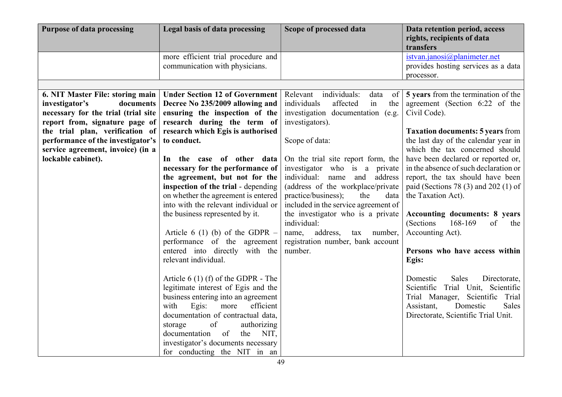| <b>Purpose of data processing</b>                                                                                                                                                                                                                                           | Legal basis of data processing                                                                                                                                                                                                                                                                                                                                                                                                                                                                                                                                                           | Scope of processed data                                                                                                                                                                                                                                                                                                                                                                                                                                                                                                       | Data retention period, access<br>rights, recipients of data<br>transfers                                                                                                                                                                                                                                                                                                                                                                                                                                                                    |
|-----------------------------------------------------------------------------------------------------------------------------------------------------------------------------------------------------------------------------------------------------------------------------|------------------------------------------------------------------------------------------------------------------------------------------------------------------------------------------------------------------------------------------------------------------------------------------------------------------------------------------------------------------------------------------------------------------------------------------------------------------------------------------------------------------------------------------------------------------------------------------|-------------------------------------------------------------------------------------------------------------------------------------------------------------------------------------------------------------------------------------------------------------------------------------------------------------------------------------------------------------------------------------------------------------------------------------------------------------------------------------------------------------------------------|---------------------------------------------------------------------------------------------------------------------------------------------------------------------------------------------------------------------------------------------------------------------------------------------------------------------------------------------------------------------------------------------------------------------------------------------------------------------------------------------------------------------------------------------|
|                                                                                                                                                                                                                                                                             | more efficient trial procedure and<br>communication with physicians.                                                                                                                                                                                                                                                                                                                                                                                                                                                                                                                     |                                                                                                                                                                                                                                                                                                                                                                                                                                                                                                                               | istvan.janosi $@p$ lanimeter.net<br>provides hosting services as a data<br>processor.                                                                                                                                                                                                                                                                                                                                                                                                                                                       |
|                                                                                                                                                                                                                                                                             |                                                                                                                                                                                                                                                                                                                                                                                                                                                                                                                                                                                          |                                                                                                                                                                                                                                                                                                                                                                                                                                                                                                                               |                                                                                                                                                                                                                                                                                                                                                                                                                                                                                                                                             |
| 6. NIT Master File: storing main<br>investigator's<br>documents<br>necessary for the trial (trial site<br>report from, signature page of<br>the trial plan, verification of<br>performance of the investigator's<br>service agreement, invoice) (in a<br>lockable cabinet). | <b>Under Section 12 of Government</b><br>Decree No 235/2009 allowing and<br>ensuring the inspection of the<br>research during the term of<br>research which Egis is authorised<br>to conduct.<br>In the case of other data<br>necessary for the performance of<br>the agreement, but not for the<br>inspection of the trial - depending<br>on whether the agreement is entered<br>into with the relevant individual or<br>the business represented by it.<br>Article 6 (1) (b) of the GDPR $-$<br>performance of the agreement<br>entered into directly with the<br>relevant individual. | Relevant individuals:<br>data<br>of<br>individuals<br>affected<br>in<br>the<br>investigation documentation (e.g.<br>investigators).<br>Scope of data:<br>On the trial site report form, the<br>investigator who is a private<br>individual:<br>name and<br>address<br>(address of the workplace/private<br>practice/business);<br>the<br>data<br>included in the service agreement of<br>the investigator who is a private<br>individual:<br>address,<br>tax number,<br>name,<br>registration number, bank account<br>number. | 5 years from the termination of the<br>agreement (Section 6:22 of the<br>Civil Code).<br><b>Taxation documents: 5 years from</b><br>the last day of the calendar year in<br>which the tax concerned should<br>have been declared or reported or,<br>in the absence of such declaration or<br>report, the tax should have been<br>paid (Sections 78 $(3)$ and 202 $(1)$ of<br>the Taxation Act).<br><b>Accounting documents: 8 years</b><br>168-169<br>(Sections<br>of<br>the<br>Accounting Act).<br>Persons who have access within<br>Egis: |
|                                                                                                                                                                                                                                                                             | Article $6(1)$ (f) of the GDPR - The<br>legitimate interest of Egis and the<br>business entering into an agreement<br>Egis:<br>efficient<br>more<br>with<br>documentation of contractual data,<br>of<br>authorizing<br>storage<br>of<br>documentation<br>the<br>NIT,<br>investigator's documents necessary<br>for conducting the NIT in an                                                                                                                                                                                                                                               |                                                                                                                                                                                                                                                                                                                                                                                                                                                                                                                               | Domestic<br>Sales<br>Directorate,<br>Scientific Trial Unit, Scientific<br>Trial Manager, Scientific Trial<br>Sales<br>Assistant,<br>Domestic<br>Directorate, Scientific Trial Unit.                                                                                                                                                                                                                                                                                                                                                         |